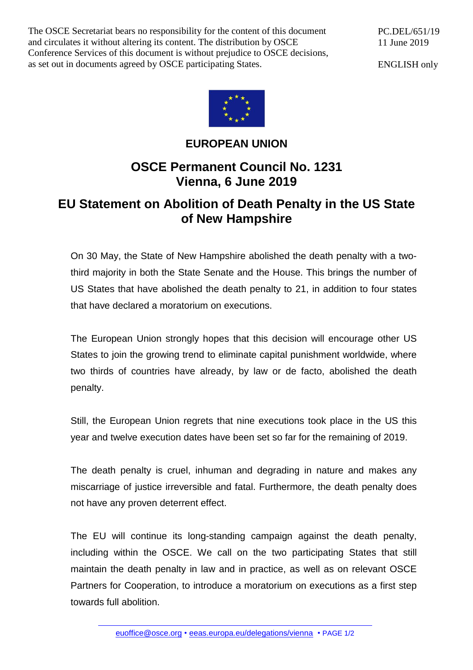The OSCE Secretariat bears no responsibility for the content of this document and circulates it without altering its content. The distribution by OSCE Conference Services of this document is without prejudice to OSCE decisions, as set out in documents agreed by OSCE participating States.

PC.DEL/651/19 11 June 2019

ENGLISH only



## **EUROPEAN UNION**

## **OSCE Permanent Council No. 1231 Vienna, 6 June 2019**

## **EU Statement on Abolition of Death Penalty in the US State of New Hampshire**

On 30 May, the State of New Hampshire abolished the death penalty with a twothird majority in both the State Senate and the House. This brings the number of US States that have abolished the death penalty to 21, in addition to four states that have declared a moratorium on executions.

The European Union strongly hopes that this decision will encourage other US States to join the growing trend to eliminate capital punishment worldwide, where two thirds of countries have already, by law or de facto, abolished the death penalty.

Still, the European Union regrets that nine executions took place in the US this year and twelve execution dates have been set so far for the remaining of 2019.

The death penalty is cruel, inhuman and degrading in nature and makes any miscarriage of justice irreversible and fatal. Furthermore, the death penalty does not have any proven deterrent effect.

The EU will continue its long-standing campaign against the death penalty, including within the OSCE. We call on the two participating States that still maintain the death penalty in law and in practice, as well as on relevant OSCE Partners for Cooperation, to introduce a moratorium on executions as a first step towards full abolition.